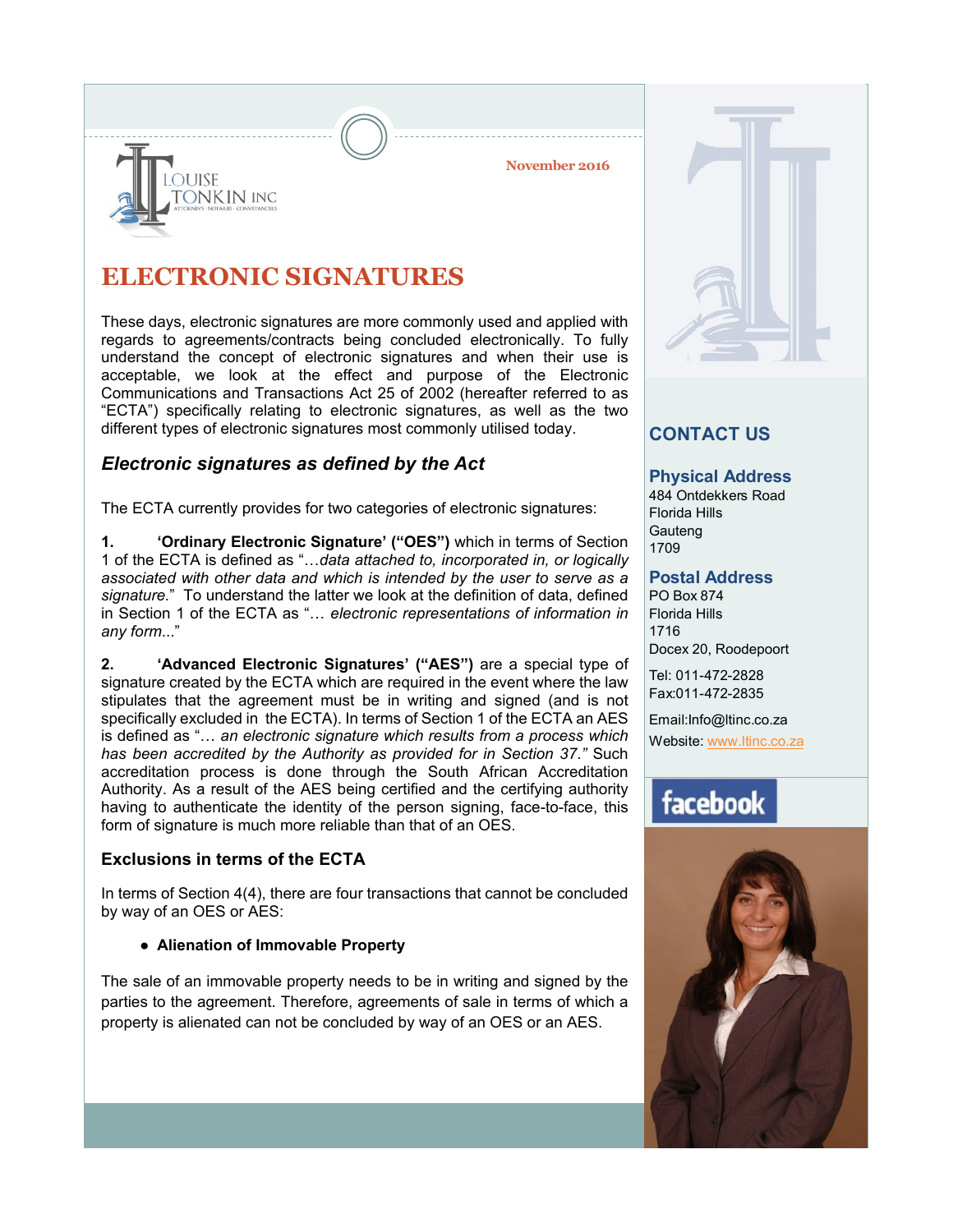**November 2016**



**OUISE** 

ONKIN INC

These days, electronic signatures are more commonly used and applied with regards to agreements/contracts being concluded electronically. To fully understand the concept of electronic signatures and when their use is acceptable, we look at the effect and purpose of the Electronic Communications and Transactions Act 25 of 2002 (hereafter referred to as "ECTA") specifically relating to electronic signatures, as well as the two different types of electronic signatures most commonly utilised today.

# *Electronic signatures as defined by the Act*

The ECTA currently provides for two categories of electronic signatures:

**1. 'Ordinary Electronic Signature' ("OES")** which in terms of Section 1 of the ECTA is defined as "…*data attached to, incorporated in, or logically associated with other data and which is intended by the user to serve as a signature.*" To understand the latter we look at the definition of data, defined in Section 1 of the ECTA as "… *electronic representations of information in any form*..."

**2. 'Advanced Electronic Signatures' ("AES")** are a special type of signature created by the ECTA which are required in the event where the law stipulates that the agreement must be in writing and signed (and is not specifically excluded in the ECTA). In terms of Section 1 of the ECTA an AES is defined as "… *an electronic signature which results from a process which has been accredited by the Authority as provided for in Section 37*.*"* Such accreditation process is done through the South African Accreditation Authority. As a result of the AES being certified and the certifying authority having to authenticate the identity of the person signing, face-to-face, this form of signature is much more reliable than that of an OES.

## **Exclusions in terms of the ECTA**

In terms of Section 4(4), there are four transactions that cannot be concluded by way of an OES or AES:

### **● Alienation of Immovable Property**

The sale of an immovable property needs to be in writing and signed by the parties to the agreement. Therefore, agreements of sale in terms of which a property is alienated can not be concluded by way of an OES or an AES.



# **CONTACT US**

### **Physical Address**

484 Ontdekkers Road Florida Hills **Gauteng** 1709

### **Postal Address**

PO Box 874 Florida Hills 1716 Docex 20, Roodepoort

Tel: 011-472-2828 Fax:011-472-2835

Email:Info@ltinc.co.za

Website: www.ltinc.co.za

# facebook